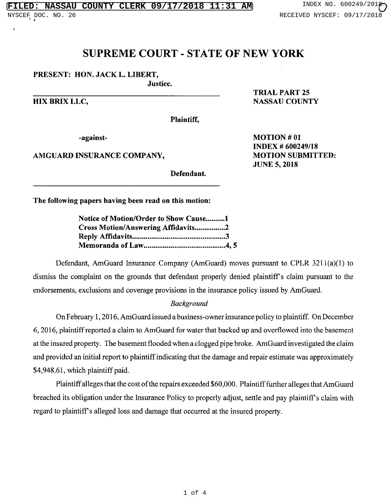## SUPREME COURT - STATE OF NEW YORK

### PRESENT: HON. JACK L. LIBERT,

Justice.

TRIAL PART 25 HIX BRIX LLC, NASSAU COUNTY

INDEX # 600249/18

JUNE 5, 2018

Plaintiff,

-against-<br>
MOTION #01

AMGUARD INSURANCE COMPANY, MOTION SUBMITTED:

Defendant.

The following papers having been read on this motion:

| Notice of Motion/Order to Show Cause1 |
|---------------------------------------|
| Cross Motion/Answering Affidavits2    |
|                                       |
|                                       |

Defendant, AmGuard Insurance Company (AmGuard) moves pursuant to CPLR 3211(a)(1) to dismiss the complaint on the grounds that defendant properly denied plaintiff's claim pursuant to the endorsements, exclusions and coverage provisions in the insurance policy issued by AmGuard.

#### *Background*

On February 1, 2016, AmGuard issued a business-owner insurance policy to plaintiff. On December 6, 2016, plaintiff reported a claim to AmGuard for water that backed up and overflowed into the basement at the insured property. The basement flooded when a clogged pipe broke. AmGuard investigated the claim and provided an initial report to plaintiff indicating that the damage and repair estimate was approximately \$4,948.61, which plaintiff paid.

Plaintiff alleges that the cost of the repairs exceeded \$60,000. Plaintiff further alleges that AmGuard breached its obligation under the Insurance Policy to properly adjust, settle and pay plaintiff's claim with regard to plaintiffs alleged loss and damage that occurred at the insured property.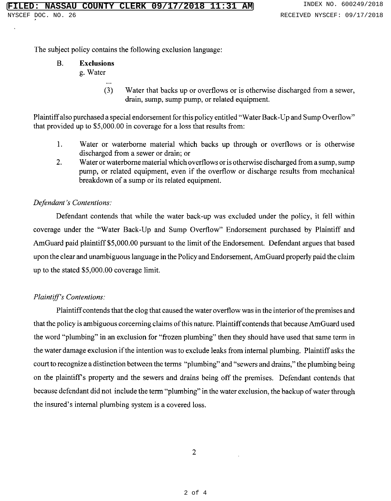The subject policy contains the following exclusion language:

# B. Exclusions

- g. Water
	- (3) Water that backs up or overflows or is otherwise discharged from a sewer, drain, sump, sump pump, or related equipment.

Plaintiff also purchased a special endorsement for this policy entitled "Water Back-Up and Sump Overflow" that provided up to \$5,000.00 in coverage for a loss that results from:

- $\mathbf{1}$ . Water or waterborne material which backs up through or overflows or is otherwise discharged from a sewer or drain; or
- $\overline{2}$ . Water or waterborne material which overflows or is otherwise discharged from a sump, sump pump, or related equipment, even if the overflow or discharge results from mechanical breakdown of a sump or its related equipment.

### *Defendant's Contentions:*

Defendant contends that while the water back-up was excluded under the policy, it fell within coverage under the "Water Back-Up and Sump Overflow" Endorsement purchased by Plaintiff and AmGuard paid plaintiff \$5,000.00 pursuant to the limit of the Endorsement. Defendant argues that based upon the clear and unambiguous language in the Policy and Endorsement, AmGuard properly paid the claim up to the stated \$5,000.00 coverage limit.

### *Plaintiff's Contentions:*

Plaintiff contends that the clog that caused the water overflow was in the interior of the premises and that the policy is ambiguous corceming claims of this nature. Plaintiff contends that because AmGuard used the word "plumbing" in an exclusion for "frozen plumbing" then they should have used that same term in the water damage exclusion if the intention was to exclude leaks from internal plumbing. Plaintiff asks the court to recognize a distinction between the terms "plumbing" and "sewers and drains," the plumbing being on the plaintiff's property and the sewers and drains being off the premises. Defendant contends that because defendant did not include the term "plumbing" in the water exclusion, the backup of water through the insured's internal plumbing system is a covered loss.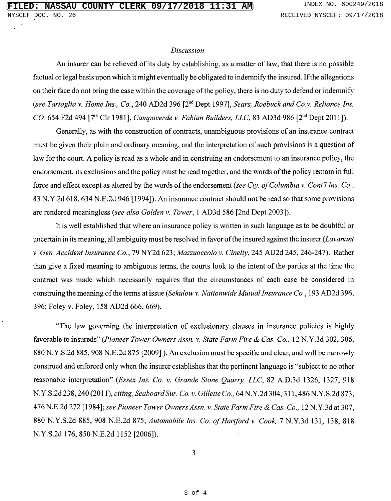#### *Discussion*

An insurer can be relieved of its duty by establishing, as a matter of law, that there is no possible factual or legal basis upon which it might eventually be obligated to indemnify the insured. If the allegations on their face do not bring the case within the coverage of the policy, there is no duty to defend or indemnify *(see Tartaglia v. Home Ins., Co., 240 AD2d 396 [2<sup>nd</sup> Dept 1997], <i>Sears, Roebuck and Co.v. Reliance Ins. CO.* 654 F2d 494 [7<sup>th</sup> Cir 1981], *Campoverde v. Fabian Builders, LLC*, 83 AD3d 986 [2<sup>nd</sup> Dept 2011]).

Generally, as with the construction of contracts, unambiguous provisions of an insurance contract must be given their plain and ordinary meaning, and the interpretation of such provisions is a question of law for the court. A policy is read as a whole and in construing an endorsement to an insurance policy, the endorsement, its exclusions and the policy must be read together, and the words of the policy remain in full force and effect except as altered by the words of the endorsement *(see Cty. of Columbia v. Cont'l Ins. Co.,* 83 N.Y.2d 618, 634 N.E.2d 946 [1994]). An insurance contract should not be read so that some provisions are rendered meaningless *(see also Golden v. Tower,* 1 AD3d 586 [2nd Dept 2003]).

It is well established that where an insurance policy is written in such language as to be doubtful or uncertain in its meaning, all ambiguity must be resolved in favor of the insured against the insurer *(Lavanant v. Gen. Accident Insurance Co.,* 79 NY2d 623; *Mazzuoccolo v. Cinelly,* 245 AD2d 245, 246-247). Rather than give a fixed meaning to ambiguous terms, the courts look to the intent of the parties at the time the contract was made which necessarily requires that the circumstances of each case be considered in construing the meaning of the terms at issue *(Sekulow v. Nationwide Mutual Insurance Co.,* 193 AD2d 396, 396; Foley v. Foley, 158 AD2d 666, 669).

"The law governing the interpretation of exclusionary clauses in insurance policies is highly favorable to insureds" *(Pioneer Tower Owners Assn. v. State Farm Fire & Cas. Co.,* 12 N.Y.3d 302, 306, 880 N.Y.S.2d 885, 908 N.E.2d 875 [2009] ). An exclusion must be specific and clear, and will be narrowly construed and enforced only when the insurer establishes that the pertinent language is "subject to no other reasonable interpretation" *(Essex Ins. Co. v. Grande Stone Quarry, LLC,* 82 A.D.3d 1326, 1327, 918 N.Y.S.2d 238, 240 (2011), *citing, Seaboard Sur. Co. v. Gillette Co.,* 64 N.Y.2d 304, 311, 486 N.Y.S.2d 873, 476 N.E.2d 272 [1984]; *see Pioneer Tower Owners Assn. v. State Farm Fire & Cas. Co.,* 12 N.Y.3d at 307, 880 N.Y.S.2d 885, 908 N.E.2d 875; *Automobile Ins. Co. of Hartford v. Cook,* 7 N.Y.3d 131, 138, 818 N.Y.S.2d 176, 850 N.E.2d 1152 [2006]).

3